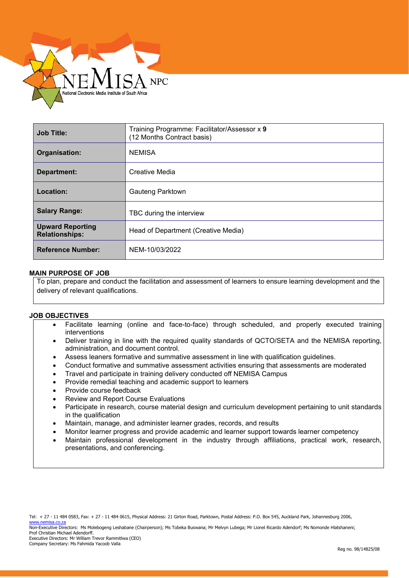

| <b>Job Title:</b>                                | Training Programme: Facilitator/Assessor x 9<br>(12 Months Contract basis) |
|--------------------------------------------------|----------------------------------------------------------------------------|
| Organisation:                                    | <b>NEMISA</b>                                                              |
| <b>Department:</b>                               | Creative Media                                                             |
| Location:                                        | Gauteng Parktown                                                           |
| <b>Salary Range:</b>                             | TBC during the interview                                                   |
| <b>Upward Reporting</b><br><b>Relationships:</b> | Head of Department (Creative Media)                                        |
| <b>Reference Number:</b>                         | NEM-10/03/2022                                                             |

## **MAIN PURPOSE OF JOB**

To plan, prepare and conduct the facilitation and assessment of learners to ensure learning development and the delivery of relevant qualifications.

## **JOB OBJECTIVES**

- Facilitate learning (online and face-to-face) through scheduled, and properly executed training interventions
- Deliver training in line with the required quality standards of QCTO/SETA and the NEMISA reporting, administration, and document control.
- Assess leaners formative and summative assessment in line with qualification guidelines.
- Conduct formative and summative assessment activities ensuring that assessments are moderated
- Travel and participate in training delivery conducted off NEMISA Campus
- Provide remedial teaching and academic support to learners
- Provide course feedback
- Review and Report Course Evaluations

l

- Participate in research, course material design and curriculum development pertaining to unit standards in the qualification
- Maintain, manage, and administer learner grades, records, and results
- Monitor learner progress and provide academic and learner support towards learner competency
- Maintain professional development in the industry through affiliations, practical work, research, presentations, and conferencing.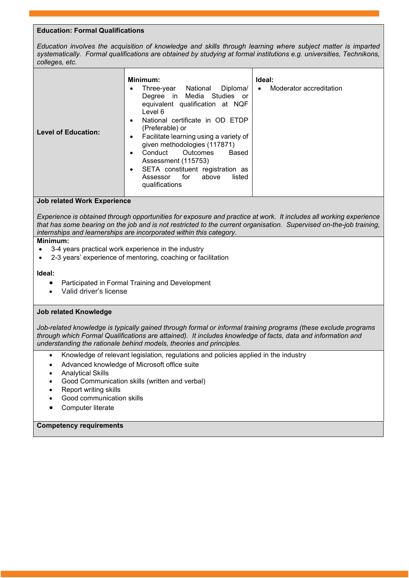# **Education: Formal Qualifications**

*Education involves the acquisition of knowledge and skills through learning where subject matter is imparted systematically. Formal qualifications are obtained by studying at formal institutions e.g. universities, Technikons, colleges, etc.*

| Minimum:<br>Diploma/<br>National<br>Three-year<br>Degree in Media Studies or<br>equivalent qualification at NQF<br>Level 6<br>National certificate in OD ETDP<br>$\bullet$<br>(Preferable) or<br><b>Level of Education:</b><br>Facilitate learning using a variety of<br>given methodologies (117871)<br>Conduct Outcomes<br>Based<br>Assessment (115753)<br>SETA constituent registration as<br>٠<br>for<br>above<br>listed<br>Assessor<br>qualifications | Ideal:<br>Moderator accreditation<br>$\bullet$ |
|------------------------------------------------------------------------------------------------------------------------------------------------------------------------------------------------------------------------------------------------------------------------------------------------------------------------------------------------------------------------------------------------------------------------------------------------------------|------------------------------------------------|
|------------------------------------------------------------------------------------------------------------------------------------------------------------------------------------------------------------------------------------------------------------------------------------------------------------------------------------------------------------------------------------------------------------------------------------------------------------|------------------------------------------------|

## **Job related Work Experience**

*Experience is obtained through opportunities for exposure and practice at work. It includes all working experience that has some bearing on the job and is not restricted to the current organisation. Supervised on-the-job training, internships and learnerships are incorporated within this category.*

#### **Minimum:**

- 3-4 years practical work experience in the industry
- 2-3 years' experience of mentoring, coaching or facilitation

#### **Ideal:**

- Participated in Formal Training and Development
- Valid driver's license

## **Job related Knowledge**

*Job-related knowledge is typically gained through formal or informal training programs (these exclude programs through which Formal Qualifications are attained). It includes knowledge of facts, data and information and understanding the rationale behind models, theories and principles.*

- Knowledge of relevant legislation, regulations and policies applied in the industry
- Advanced knowledge of Microsoft office suite
- Analytical Skills
- Good Communication skills (written and verbal)
- Report writing skills
- Good communication skills
- Computer literate

## **Competency requirements**